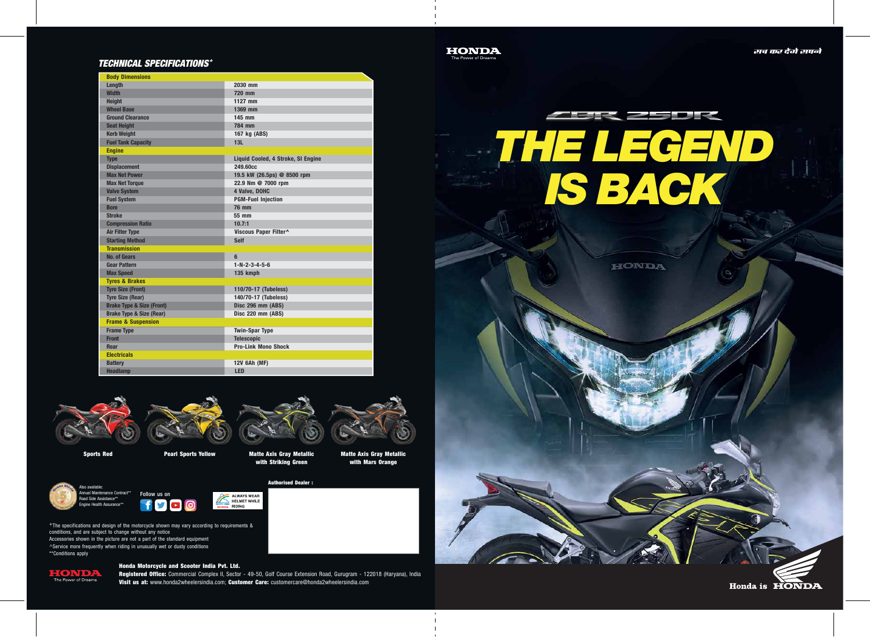

## TECHNICAL SPECIFICATIONS <sup>+</sup>

| <b>Body Dimensions</b>               |                                    |
|--------------------------------------|------------------------------------|
| Length                               | 2030 mm                            |
| <b>Width</b>                         | 720 mm                             |
| <b>Height</b>                        | 1127 mm                            |
| <b>Wheel Base</b>                    | 1369 mm                            |
| <b>Ground Clearance</b>              | 145 mm                             |
| <b>Seat Height</b>                   | 784 mm                             |
| <b>Kerb Weight</b>                   | 167 kg (ABS)                       |
| <b>Fuel Tank Capacity</b>            | 13L                                |
| <b>Engine</b>                        |                                    |
| <b>Type</b>                          | Liquid Cooled, 4 Stroke, SI Engine |
| <b>Displacement</b>                  | 249.60cc                           |
| <b>Max Net Power</b>                 | 19.5 kW (26.5ps) @ 8500 rpm        |
| <b>Max Net Torque</b>                | 22.9 Nm @ 7000 rpm                 |
| <b>Valve System</b>                  | 4 Valve, DOHC                      |
| <b>Fuel System</b>                   | <b>PGM-Fuel Injection</b>          |
| <b>Bore</b>                          | <b>76 mm</b>                       |
| <b>Stroke</b>                        | 55 mm                              |
| <b>Compression Ratio</b>             | 10.7:1                             |
| <b>Air Filter Type</b>               | Viscous Paper Filter^              |
| <b>Starting Method</b>               | <b>Self</b>                        |
| <b>Transmission</b>                  |                                    |
| <b>No. of Gears</b>                  | 6                                  |
| <b>Gear Pattern</b>                  | $1 - N - 2 - 3 - 4 - 5 - 6$        |
| <b>Max Speed</b>                     | 135 kmph                           |
| <b>Tyres &amp; Brakes</b>            |                                    |
| <b>Tyre Size (Front)</b>             | 110/70-17 (Tubeless)               |
| <b>Tyre Size (Rear)</b>              | 140/70-17 (Tubeless)               |
| <b>Brake Type &amp; Size (Front)</b> | Disc 296 mm (ABS)                  |
| <b>Brake Type &amp; Size (Rear)</b>  | Disc 220 mm (ABS)                  |
| <b>Frame &amp; Suspension</b>        |                                    |
| <b>Frame Type</b>                    | <b>Twin-Spar Type</b>              |
| <b>Front</b>                         | <b>Telescopic</b>                  |
| Rear                                 | <b>Pro-Link Mono Shock</b>         |
| <b>Electricals</b>                   |                                    |
| <b>Battery</b>                       | 12V 6Ah (MF)                       |
| <b>Headlamp</b>                      | <b>LED</b>                         |





 $\wedge$ Service more frequently when riding in unusually wet or dusty conditions \*\*Conditions apply

nnual Maintenance Contract\*\* oad Side Assistance\*\* Engine Health Assurance\*\*

Sports Red **Pearl Sports Yellow** Matte Axis Gray Metallic with Striking Green





The Power of Dreams









Honda Motorcycle and Scooter India Pvt. Ltd.

Registered Office: Commercial Complex II, Sector - 49-50, Golf Course Extension Road, Gurugram - 122018 (Haryana), India Visit us at: www.honda2wheelersindia.com; Customer Care: customercare@honda2wheelersindia.com



Matte Axis Gray Metallic with Mars Orange